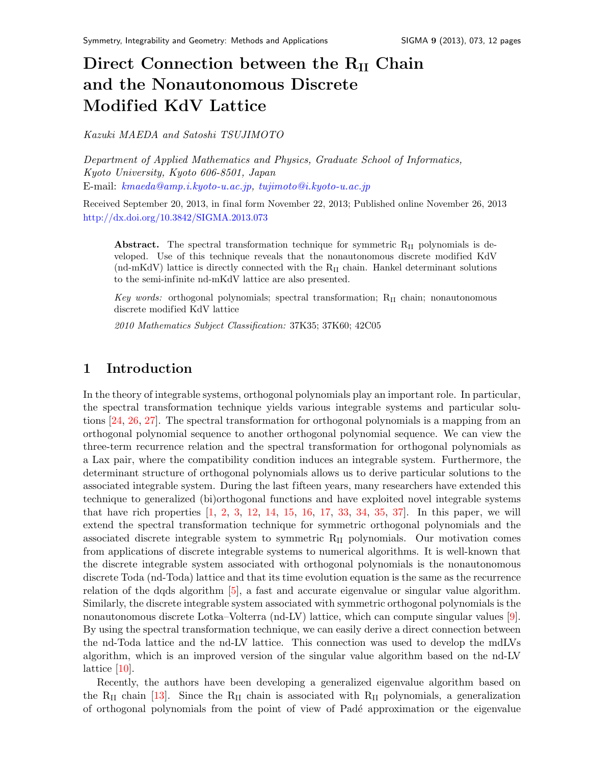# Direct Connection between the  $R_{II}$  Chain and the Nonautonomous Discrete Modified KdV Lattice

Kazuki MAEDA and Satoshi TSUJIMOTO

Department of Applied Mathematics and Physics, Graduate School of Informatics, Kyoto University, Kyoto 606-8501, Japan E-mail: [kmaeda@amp.i.kyoto-u.ac.jp,](mailto:kmaeda@amp.i.kyoto-u.ac.jp) [tujimoto@i.kyoto-u.ac.jp](mailto:tujimoto@i.kyoto-u.ac.jp)

Received September 20, 2013, in final form November 22, 2013; Published online November 26, 2013 <http://dx.doi.org/10.3842/SIGMA.2013.073>

Abstract. The spectral transformation technique for symmetric R<sub>II</sub> polynomials is developed. Use of this technique reveals that the nonautonomous discrete modified KdV (nd-mKdV) lattice is directly connected with the  $R_{II}$  chain. Hankel determinant solutions to the semi-infinite nd-mKdV lattice are also presented.

Key words: orthogonal polynomials; spectral transformation;  $R_{II}$  chain; nonautonomous discrete modified KdV lattice

2010 Mathematics Subject Classification: 37K35; 37K60; 42C05

## 1 Introduction

In the theory of integrable systems, orthogonal polynomials play an important role. In particular, the spectral transformation technique yields various integrable systems and particular solutions [\[24,](#page-11-0) [26,](#page-11-1) [27\]](#page-11-2). The spectral transformation for orthogonal polynomials is a mapping from an orthogonal polynomial sequence to another orthogonal polynomial sequence. We can view the three-term recurrence relation and the spectral transformation for orthogonal polynomials as a Lax pair, where the compatibility condition induces an integrable system. Furthermore, the determinant structure of orthogonal polynomials allows us to derive particular solutions to the associated integrable system. During the last fifteen years, many researchers have extended this technique to generalized (bi)orthogonal functions and have exploited novel integrable systems that have rich properties [\[1,](#page-10-0) [2,](#page-10-1) [3,](#page-10-2) [12,](#page-10-3) [14,](#page-11-3) [15,](#page-11-4) [16,](#page-11-5) [17,](#page-11-6) [33,](#page-11-7) [34,](#page-11-8) [35,](#page-11-9) [37\]](#page-11-10). In this paper, we will extend the spectral transformation technique for symmetric orthogonal polynomials and the associated discrete integrable system to symmetric  $R_{II}$  polynomials. Our motivation comes from applications of discrete integrable systems to numerical algorithms. It is well-known that the discrete integrable system associated with orthogonal polynomials is the nonautonomous discrete Toda (nd-Toda) lattice and that its time evolution equation is the same as the recurrence relation of the dqds algorithm [\[5\]](#page-10-4), a fast and accurate eigenvalue or singular value algorithm. Similarly, the discrete integrable system associated with symmetric orthogonal polynomials is the nonautonomous discrete Lotka–Volterra (nd-LV) lattice, which can compute singular values [\[9\]](#page-10-5). By using the spectral transformation technique, we can easily derive a direct connection between the nd-Toda lattice and the nd-LV lattice. This connection was used to develop the mdLVs algorithm, which is an improved version of the singular value algorithm based on the nd-LV lattice [\[10\]](#page-10-6).

Recently, the authors have been developing a generalized eigenvalue algorithm based on the  $R_{II}$  chain [\[13\]](#page-11-11). Since the  $R_{II}$  chain is associated with  $R_{II}$  polynomials, a generalization of orthogonal polynomials from the point of view of Pad´e approximation or the eigenvalue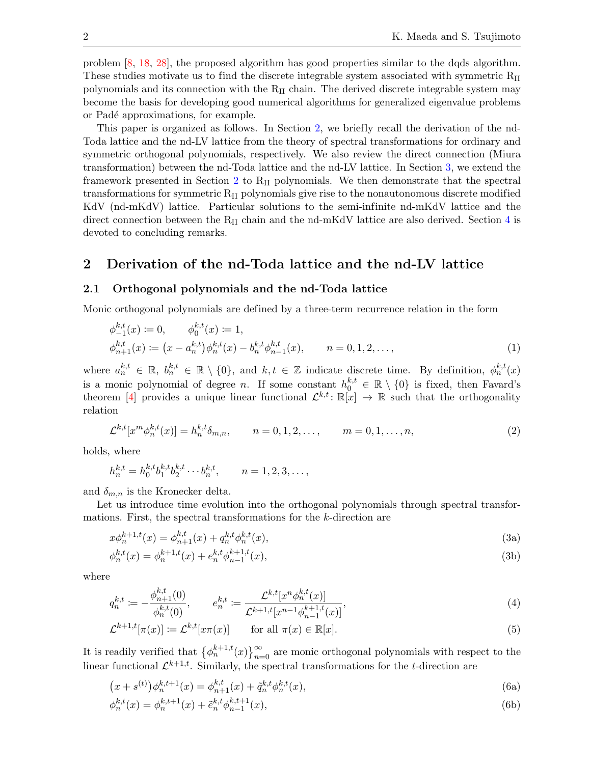problem [\[8,](#page-10-7) [18,](#page-11-12) [28\]](#page-11-13), the proposed algorithm has good properties similar to the dqds algorithm. These studies motivate us to find the discrete integrable system associated with symmetric  $R_{II}$ polynomials and its connection with the  $R_{II}$  chain. The derived discrete integrable system may become the basis for developing good numerical algorithms for generalized eigenvalue problems or Padé approximations, for example.

This paper is organized as follows. In Section [2,](#page-1-0) we briefly recall the derivation of the nd-Toda lattice and the nd-LV lattice from the theory of spectral transformations for ordinary and symmetric orthogonal polynomials, respectively. We also review the direct connection (Miura transformation) between the nd-Toda lattice and the nd-LV lattice. In Section [3,](#page-5-0) we extend the framework presented in Section [2](#page-1-0) to  $R_{II}$  polynomials. We then demonstrate that the spectral transformations for symmetric RII polynomials give rise to the nonautonomous discrete modified KdV (nd-mKdV) lattice. Particular solutions to the semi-infinite nd-mKdV lattice and the direct connection between the  $R_{II}$  chain and the nd-mKdV lattice are also derived. Section [4](#page-10-8) is devoted to concluding remarks.

## <span id="page-1-0"></span>2 Derivation of the nd-Toda lattice and the nd-LV lattice

### 2.1 Orthogonal polynomials and the nd-Toda lattice

Monic orthogonal polynomials are defined by a three-term recurrence relation in the form

<span id="page-1-3"></span>
$$
\phi_{-1}^{k,t}(x) := 0, \qquad \phi_0^{k,t}(x) := 1, \n\phi_{n+1}^{k,t}(x) := (x - a_n^{k,t})\phi_n^{k,t}(x) - b_n^{k,t}\phi_{n-1}^{k,t}(x), \qquad n = 0, 1, 2, \dots,
$$
\n(1)

where  $a_n^{k,t} \in \mathbb{R}$ ,  $b_n^{k,t} \in \mathbb{R} \setminus \{0\}$ , and  $k,t \in \mathbb{Z}$  indicate discrete time. By definition,  $\phi_n^{k,t}(x)$ is a monic polynomial of degree n. If some constant  $h_0^{k,t} \in \mathbb{R} \setminus \{0\}$  is fixed, then Favard's theorem [\[4\]](#page-10-9) provides a unique linear functional  $\mathcal{L}^{k,t} \colon \mathbb{R}[x] \to \mathbb{R}$  such that the orthogonality relation

<span id="page-1-5"></span>
$$
\mathcal{L}^{k,t}[x^m \phi_n^{k,t}(x)] = h_n^{k,t} \delta_{m,n}, \qquad n = 0, 1, 2, \dots, \qquad m = 0, 1, \dots, n,
$$
\n(2)

holds, where

$$
h_n^{k,t} = h_0^{k,t} b_1^{k,t} b_2^{k,t} \cdots b_n^{k,t}, \qquad n = 1, 2, 3, \ldots,
$$

and  $\delta_{m,n}$  is the Kronecker delta.

Let us introduce time evolution into the orthogonal polynomials through spectral transformations. First, the spectral transformations for the k-direction are

<span id="page-1-1"></span>
$$
x\phi_n^{k+1,t}(x) = \phi_{n+1}^{k,t}(x) + q_n^{k,t}\phi_n^{k,t}(x),\tag{3a}
$$

$$
\phi_n^{k,t}(x) = \phi_n^{k+1,t}(x) + e_n^{k,t} \phi_{n-1}^{k+1,t}(x),\tag{3b}
$$

where

<span id="page-1-6"></span>
$$
q_n^{k,t} := -\frac{\phi_{n+1}^{k,t}(0)}{\phi_n^{k,t}(0)}, \qquad e_n^{k,t} := \frac{\mathcal{L}^{k,t}[x^n \phi_n^{k,t}(x)]}{\mathcal{L}^{k+1,t}[x^{n-1} \phi_{n-1}^{k+1,t}(x)]},\tag{4}
$$

<span id="page-1-4"></span>
$$
\mathcal{L}^{k+1,t}[\pi(x)] \coloneqq \mathcal{L}^{k,t}[x\pi(x)] \qquad \text{for all } \pi(x) \in \mathbb{R}[x]. \tag{5}
$$

It is readily verified that  $\{\phi_n^{k+1,t}(x)\}_{n=0}^{\infty}$  are monic orthogonal polynomials with respect to the linear functional  $\mathcal{L}^{k+1,t}$ . Similarly, the spectral transformations for the t-direction are

<span id="page-1-2"></span>
$$
(x + s^{(t)})\phi_n^{k,t+1}(x) = \phi_{n+1}^{k,t}(x) + \tilde{q}_n^{k,t}\phi_n^{k,t}(x),
$$
\n(6a)

$$
\phi_n^{k,t}(x) = \phi_n^{k,t+1}(x) + \tilde{e}_n^{k,t} \phi_{n-1}^{k,t+1}(x),\tag{6b}
$$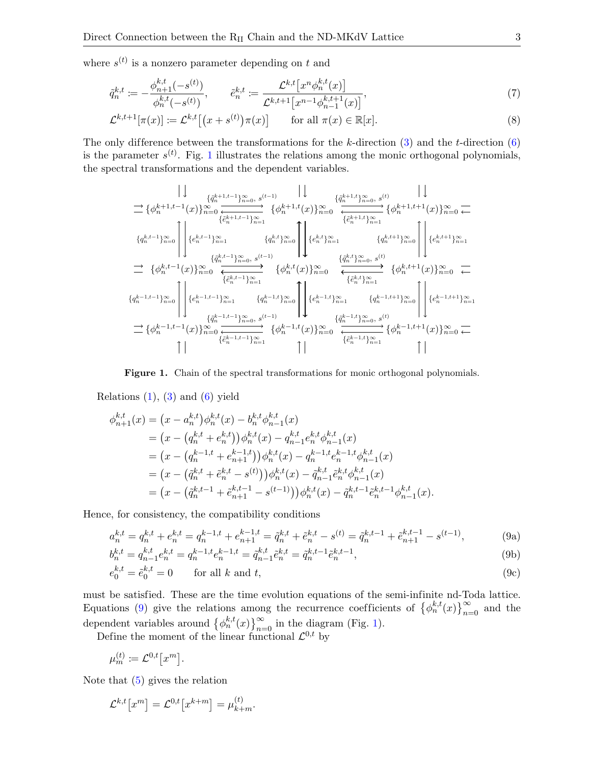where  $s^{(t)}$  is a nonzero parameter depending on t and

$$
\tilde{q}_n^{k,t} := -\frac{\phi_{n+1}^{k,t}(-s^{(t)})}{\phi_n^{k,t}(-s^{(t)})}, \qquad \tilde{e}_n^{k,t} := \frac{\mathcal{L}^{k,t}\left[x^n \phi_n^{k,t}(x)\right]}{\mathcal{L}^{k,t+1}\left[x^{n-1} \phi_{n-1}^{k,t+1}(x)\right]},\tag{7}
$$

$$
\mathcal{L}^{k,t+1}[\pi(x)] \coloneqq \mathcal{L}^{k,t}[(x+s^{(t)})\pi(x)] \qquad \text{for all } \pi(x) \in \mathbb{R}[x]. \tag{8}
$$

The only difference between the transformations for the k-direction  $(3)$  and the t-direction  $(6)$ is the parameter  $s^{(t)}$ . Fig. [1](#page-2-0) illustrates the relations among the monic orthogonal polynomials, the spectral transformations and the dependent variables.

<span id="page-2-3"></span><span id="page-2-2"></span>
$$
\begin{array}{c}\n\left|\downarrow\right.\n\left.\frac{\{\hat{q}_{n}^{k+1,t-1}\}_{n=0,\;s}^{n}(t-1)}{\{\hat{e}_{n}^{k+1,t-1}(x)\}_{n=0}^{n}}\right.\\
\left.\frac{\{\hat{q}_{n}^{k+1,t-1}\}_{n=1}^{n}(x)\}_{n=0}^{n}\xleftarrow{\{\hat{e}_{n}^{k+1,t-1}\}_{n=1}^{n}(x)\}_{n=1}^{n}(x_{n}^{k+1},t}(x))_{n=0}^{\infty}\xleftarrow{\{\hat{e}_{n}^{k+1,t-1}\}_{n=1}^{n}(x)\}_{n=0}^{n}(x_{n}^{k+1},t}(x))_{n=0}^{\infty}\xleftarrow{\{\hat{e}_{n}^{k+1,t-1}\}_{n=1}^{n}(x)}\right.\\
\left.\frac{\{\hat{q}_{n}^{k,t-1}\}_{n=1}^{n}(x)\}_{n=0,\;s^{(t-1)}}^{n}(x_{n}^{k+1},t}(x))_{n=0}^{\infty}\xleftarrow{\{\hat{q}_{n}^{k,t-1}\}_{n=1}^{n}(x)}\right.\\
\left.\frac{\{\hat{q}_{n}^{k,t-1}\}_{n=1}^{n}(x)\}_{n=0,\;s^{(t-1)}}^{n}(x_{n}^{k+1},t}(x))_{n=0}^{\infty}\xleftarrow{\{\hat{q}_{n}^{k,t-1}\}_{n=1}^{n}(x)}\right.\\
\left.\frac{\{\hat{q}_{n}^{k,t-1}\}_{n=1}^{n}(x_{n}^{k+1},t}(x))_{n=0}^{\infty}\xleftarrow{\{\hat{e}_{n}^{k,t-1}\}_{n=1}^{n}(x_{n}^{k+1},t}(x))_{n=0}^{\infty}\xleftarrow{\{\hat{e}_{n}^{k,t-1}\}_{n=1}^{n}(x_{n}^{k+1},t}(x))_{n=0}^{\infty}\xleftarrow{\{\hat{q}_{n}^{k-1,t-1}\}_{n=0}^{n}(x_{n}^{k-1},t}(x))_{n=0}^{\infty}\xleftarrow{\{\hat{q}_{n}^{k-1,t-1}\}_{n=1}^{n}(x_{n}^{k-1},t}(x))_{n=0}^{\infty}\xleftarrow{\{\hat{q}_{n}^{k-1,t-1}\}_{n=1}^{n}(x_{n}^{k-1},t}(x))_{n
$$

#### <span id="page-2-0"></span>Figure 1. Chain of the spectral transformations for monic orthogonal polynomials.

Relations  $(1)$ ,  $(3)$  and  $(6)$  yield

$$
\phi_{n+1}^{k,t}(x) = (x - a_n^{k,t}) \phi_n^{k,t}(x) - b_n^{k,t} \phi_{n-1}^{k,t}(x)
$$
  
\n
$$
= (x - (q_n^{k,t} + e_n^{k,t})) \phi_n^{k,t}(x) - q_{n-1}^{k,t} e_n^{k,t} \phi_{n-1}^{k,t}(x)
$$
  
\n
$$
= (x - (q_n^{k-1,t} + e_{n+1}^{k-1,t})) \phi_n^{k,t}(x) - q_n^{k-1,t} e_n^{k-1,t} \phi_{n-1}^{k,t}(x)
$$
  
\n
$$
= (x - (\tilde{q}_n^{k,t} + \tilde{e}_n^{k,t} - s^{(t)})) \phi_n^{k,t}(x) - \tilde{q}_{n-1}^{k,t} \tilde{e}_n^{k,t} \phi_{n-1}^{k,t}(x)
$$
  
\n
$$
= (x - (\tilde{q}_n^{k,t-1} + \tilde{e}_{n+1}^{k,t-1} - s^{(t-1)})) \phi_n^{k,t}(x) - \tilde{q}_n^{k,t-1} \tilde{e}_n^{k,t-1} \phi_{n-1}^{k,t}(x).
$$

Hence, for consistency, the compatibility conditions

<span id="page-2-1"></span>
$$
a_n^{k,t} = q_n^{k,t} + e_n^{k,t} = q_n^{k-1,t} + e_{n+1}^{k-1,t} = \tilde{q}_n^{k,t} + \tilde{e}_n^{k,t} - s^{(t)} = \tilde{q}_n^{k,t-1} + \tilde{e}_{n+1}^{k,t-1} - s^{(t-1)},\tag{9a}
$$

$$
b_n^{k,t} = q_{n-1}^{k,t} e_n^{k,t} = q_n^{k-1,t} e_n^{k-1,t} = \tilde{q}_{n-1}^{k,t} \tilde{e}_n^{k,t} = \tilde{q}_n^{k,t-1} \tilde{e}_n^{k,t-1},\tag{9b}
$$

$$
e_0^{k,t} = \tilde{e}_0^{k,t} = 0 \qquad \text{for all } k \text{ and } t,\tag{9c}
$$

must be satisfied. These are the time evolution equations of the semi-infinite nd-Toda lattice. Equations [\(9\)](#page-2-1) give the relations among the recurrence coefficients of  $\{\phi_n^{k,t}(x)\}_{n=0}^\infty$  and the dependent variables around  $\{\phi_n^{k,t}(x)\}_{n=0}^{\infty}$  in the diagram (Fig. [1\)](#page-2-0).

Define the moment of the linear functional  $\mathcal{L}^{0,t}$  by

$$
\mu_m^{(t)} \coloneqq \mathcal{L}^{0,t}[x^m].
$$

Note that [\(5\)](#page-1-4) gives the relation

$$
\mathcal{L}^{k,t}[x^m] = \mathcal{L}^{0,t}[x^{k+m}] = \mu_{k+m}^{(t)}.
$$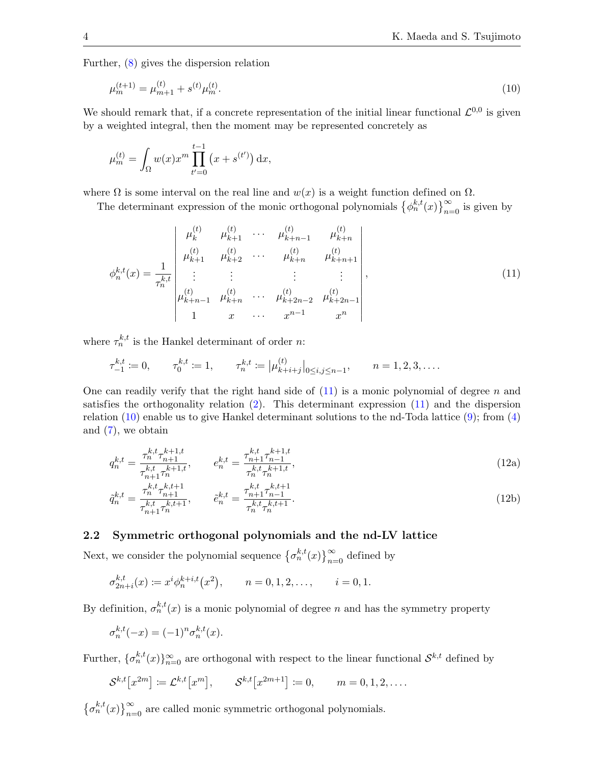Further, [\(8\)](#page-2-2) gives the dispersion relation

<span id="page-3-1"></span>
$$
\mu_m^{(t+1)} = \mu_{m+1}^{(t)} + s^{(t)}\mu_m^{(t)}.\tag{10}
$$

We should remark that, if a concrete representation of the initial linear functional  $\mathcal{L}^{0,0}$  is given by a weighted integral, then the moment may be represented concretely as

$$
\mu_m^{(t)} = \int_{\Omega} w(x) x^m \prod_{t'=0}^{t-1} (x + s^{(t')}) dx,
$$

where  $\Omega$  is some interval on the real line and  $w(x)$  is a weight function defined on  $\Omega$ .

The determinant expression of the monic orthogonal polynomials  $\{\phi_n^{k,t}(x)\}_{n=0}^{\infty}$  is given by

<span id="page-3-0"></span>
$$
\phi_n^{k,t}(x) = \frac{1}{\tau_n^{k,t}} \begin{vmatrix} \mu_k^{(t)} & \mu_{k+1}^{(t)} & \cdots & \mu_{k+n-1}^{(t)} & \mu_{k+n}^{(t)} \\ \mu_{k+1}^{(t)} & \mu_{k+2}^{(t)} & \cdots & \mu_{k+n}^{(t)} & \mu_{k+n+1}^{(t)} \\ \vdots & \vdots & \vdots & \vdots & \vdots \\ \mu_{k+n-1}^{(t)} & \mu_{k+n}^{(t)} & \cdots & \mu_{k+2n-2}^{(t)} & \mu_{k+2n-1}^{(t)} \\ 1 & x & \cdots & x^{n-1} & x^n \end{vmatrix},
$$
\n(11)

where  $\tau_n^{k,t}$  is the Hankel determinant of order *n*:

$$
\tau_{-1}^{k,t} := 0, \qquad \tau_0^{k,t} := 1, \qquad \tau_n^{k,t} := |\mu_{k+i+j}^{(t)}|_{0 \le i,j \le n-1}, \qquad n = 1,2,3,\ldots.
$$

One can readily verify that the right hand side of  $(11)$  is a monic polynomial of degree n and satisfies the orthogonality relation [\(2\)](#page-1-5). This determinant expression [\(11\)](#page-3-0) and the dispersion relation [\(10\)](#page-3-1) enable us to give Hankel determinant solutions to the nd-Toda lattice [\(9\)](#page-2-1); from [\(4\)](#page-1-6) and [\(7\)](#page-2-3), we obtain

<span id="page-3-2"></span>
$$
q_n^{k,t} = \frac{\tau_n^{k,t} \tau_{n+1}^{k+1,t}}{\tau_{n+1}^{k,t} \tau_n^{k+1,t}}, \qquad e_n^{k,t} = \frac{\tau_{n+1}^{k,t} \tau_{n-1}^{k+1,t}}{\tau_n^{k,t} \tau_n^{k+1,t}},
$$
(12a)

$$
\tilde{q}_n^{k,t} = \frac{\tau_n^{k,t} \tau_{n+1}^{k,t+1}}{\tau_{n+1}^{k,t} \tau_n^{k,t+1}}, \qquad \tilde{e}_n^{k,t} = \frac{\tau_{n+1}^{k,t} \tau_{n-1}^{k,t+1}}{\tau_n^{k,t} \tau_n^{k,t+1}}.
$$
\n(12b)

## 2.2 Symmetric orthogonal polynomials and the nd-LV lattice

Next, we consider the polynomial sequence  $\{\sigma_n^{k,t}(x)\}_{n=0}^{\infty}$  defined by

$$
\sigma_{2n+i}^{k,t}(x) \coloneqq x^i \phi_n^{k+i,t}(x^2), \qquad n = 0, 1, 2, \dots, \qquad i = 0, 1.
$$

By definition,  $\sigma_n^{k,t}(x)$  is a monic polynomial of degree n and has the symmetry property

$$
\sigma_n^{k,t}(-x) = (-1)^n \sigma_n^{k,t}(x).
$$

Further,  $\{\sigma_n^{k,t}(x)\}_{n=0}^{\infty}$  are orthogonal with respect to the linear functional  $\mathcal{S}^{k,t}$  defined by

$$
S^{k,t}[x^{2m}] := \mathcal{L}^{k,t}[x^m], \qquad S^{k,t}[x^{2m+1}] := 0, \qquad m = 0, 1, 2, \dots
$$

 $\{\sigma_n^{k,t}(x)\}_{n=0}^{\infty}$  are called monic symmetric orthogonal polynomials.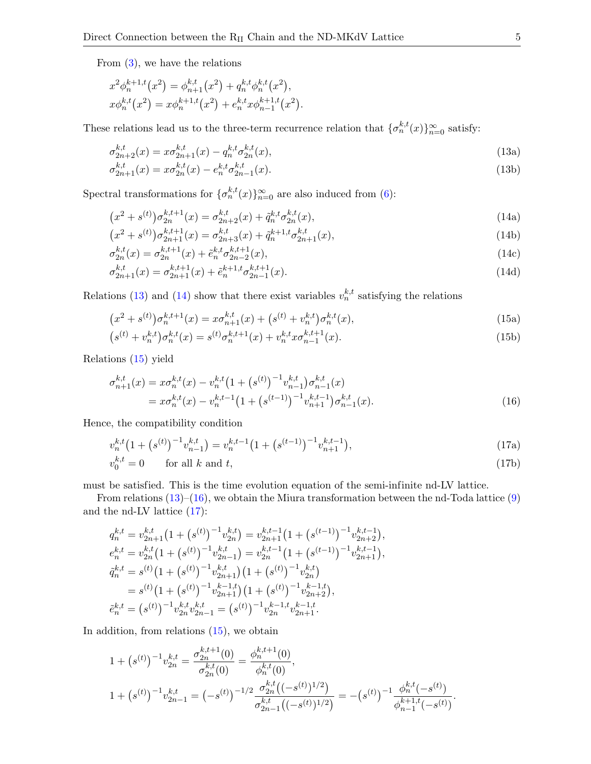From  $(3)$ , we have the relations

$$
x^{2} \phi_{n}^{k+1,t}(x^{2}) = \phi_{n+1}^{k,t}(x^{2}) + q_{n}^{k,t} \phi_{n}^{k,t}(x^{2}),
$$
  

$$
x \phi_{n}^{k,t}(x^{2}) = x \phi_{n}^{k+1,t}(x^{2}) + e_{n}^{k,t} x \phi_{n-1}^{k+1,t}(x^{2}).
$$

These relations lead us to the three-term recurrence relation that  $\{\sigma_n^{k,t}(x)\}_{n=0}^{\infty}$  satisfy:

<span id="page-4-0"></span>
$$
\sigma_{2n+2}^{k,t}(x) = x \sigma_{2n+1}^{k,t}(x) - q_n^{k,t} \sigma_{2n}^{k,t}(x), \qquad (13a)
$$

<span id="page-4-1"></span>
$$
\sigma_{2n+1}^{k,t}(x) = x \sigma_{2n}^{k,t}(x) - e_n^{k,t} \sigma_{2n-1}^{k,t}(x). \tag{13b}
$$

Spectral transformations for  $\{\sigma_n^{k,t}(x)\}_{n=0}^{\infty}$  are also induced from [\(6\)](#page-1-2):

$$
(x^{2} + s^{(t)})\sigma_{2n}^{k,t+1}(x) = \sigma_{2n+2}^{k,t}(x) + \tilde{q}_{n}^{k,t}\sigma_{2n}^{k,t}(x),
$$
\n(14a)

$$
(x^{2} + s^{(t)})\sigma_{2n+1}^{k,t+1}(x) = \sigma_{2n+3}^{k,t}(x) + \tilde{q}_{n}^{k+1,t}\sigma_{2n+1}^{k,t}(x),
$$
\n(14b)

$$
\sigma_{2n}^{k,t}(x) = \sigma_{2n}^{k,t+1}(x) + \tilde{e}_n^{k,t} \sigma_{2n-2}^{k,t+1}(x),\tag{14c}
$$

$$
\sigma_{2n+1}^{k,t}(x) = \sigma_{2n+1}^{k,t+1}(x) + \tilde{e}_n^{k+1,t} \sigma_{2n-1}^{k,t+1}(x).
$$
\n(14d)

Relations [\(13\)](#page-4-0) and [\(14\)](#page-4-1) show that there exist variables  $v_n^{k,t}$  satisfying the relations

<span id="page-4-2"></span>
$$
(x^{2} + s^{(t)})\sigma_{n}^{k,t+1}(x) = x\sigma_{n+1}^{k,t}(x) + (s^{(t)} + v_{n}^{k,t})\sigma_{n}^{k,t}(x),
$$
\n(15a)

$$
(s^{(t)} + v_n^{k,t})\sigma_n^{k,t}(x) = s^{(t)}\sigma_n^{k,t+1}(x) + v_n^{k,t}\sigma_{n-1}^{k,t+1}(x).
$$
\n(15b)

Relations [\(15\)](#page-4-2) yield

$$
\sigma_{n+1}^{k,t}(x) = x \sigma_n^{k,t}(x) - v_n^{k,t} \left(1 + \left(s^{(t)}\right)^{-1} v_{n-1}^{k,t}\right) \sigma_{n-1}^{k,t}(x)
$$
\n
$$
= x \sigma_n^{k,t}(x) - v_n^{k,t-1} \left(1 + \left(s^{(t-1)}\right)^{-1} v_{n+1}^{k,t-1}\right) \sigma_{n-1}^{k,t}(x). \tag{16}
$$

Hence, the compatibility condition

<span id="page-4-4"></span>
$$
v_n^{k,t} \left(1 + \left(s^{(t)}\right)^{-1} v_{n-1}^{k,t}\right) = v_n^{k,t-1} \left(1 + \left(s^{(t-1)}\right)^{-1} v_{n+1}^{k,t-1}\right),\tag{17a}
$$

$$
v_0^{k,t} = 0 \qquad \text{for all } k \text{ and } t,\tag{17b}
$$

must be satisfied. This is the time evolution equation of the semi-infinite nd-LV lattice.

From relations  $(13)$ – $(16)$ , we obtain the Miura transformation between the nd-Toda lattice  $(9)$ and the nd-LV lattice [\(17\)](#page-4-4):

$$
q_n^{k,t} = v_{2n+1}^{k,t} \left(1 + \left(s^{(t)}\right)^{-1} v_{2n}^{k,t}\right) = v_{2n+1}^{k,t-1} \left(1 + \left(s^{(t-1)}\right)^{-1} v_{2n+2}^{k,t-1}\right),
$$
  
\n
$$
e_n^{k,t} = v_{2n}^{k,t} \left(1 + \left(s^{(t)}\right)^{-1} v_{2n-1}^{k,t}\right) = v_{2n}^{k,t-1} \left(1 + \left(s^{(t-1)}\right)^{-1} v_{2n+1}^{k,t-1}\right),
$$
  
\n
$$
\tilde{q}_n^{k,t} = s^{(t)} \left(1 + \left(s^{(t)}\right)^{-1} v_{2n+1}^{k,t}\right) \left(1 + \left(s^{(t)}\right)^{-1} v_{2n}^{k,t}\right)
$$
  
\n
$$
= s^{(t)} \left(1 + \left(s^{(t)}\right)^{-1} v_{2n+1}^{k-1,t}\right) \left(1 + \left(s^{(t)}\right)^{-1} v_{2n+2}^{k-1,t}\right),
$$
  
\n
$$
\tilde{e}_n^{k,t} = \left(s^{(t)}\right)^{-1} v_{2n}^{k,t} v_{2n-1}^{k,t} = \left(s^{(t)}\right)^{-1} v_{2n}^{k-1,t} v_{2n+1}^{k-1,t}.
$$

In addition, from relations  $(15)$ , we obtain

$$
1 + (s^{(t)})^{-1} v_{2n}^{k,t} = \frac{\sigma_{2n}^{k,t+1}(0)}{\sigma_{2n}^{k,t}(0)} = \frac{\phi_n^{k,t+1}(0)}{\phi_n^{k,t}(0)},
$$
  

$$
1 + (s^{(t)})^{-1} v_{2n-1}^{k,t} = (-s^{(t)})^{-1/2} \frac{\sigma_{2n}^{k,t}((-s^{(t)})^{1/2})}{\sigma_{2n-1}^{k,t}((-s^{(t)})^{1/2})} = -(s^{(t)})^{-1} \frac{\phi_n^{k,t}(-s^{(t)})}{\phi_{n-1}^{k+1,t}(-s^{(t)})}
$$

<span id="page-4-3"></span>.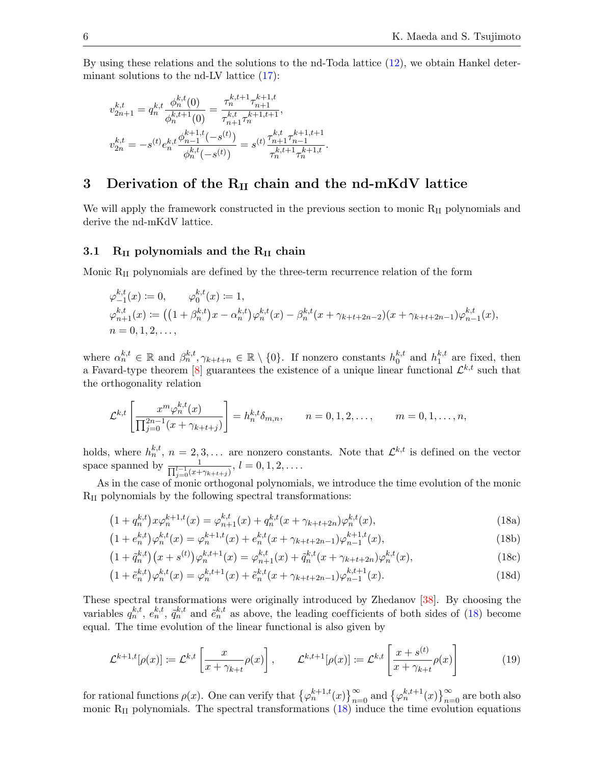By using these relations and the solutions to the nd-Toda lattice [\(12\)](#page-3-2), we obtain Hankel determinant solutions to the nd-LV lattice  $(17)$ :

$$
v_{2n+1}^{k,t} = q_n^{k,t} \frac{\phi_n^{k,t}(0)}{\phi_n^{k,t+1}(0)} = \frac{\tau_n^{k,t+1} \tau_{n+1}^{k+1,t}}{\tau_{n+1}^{k,t} \tau_n^{k+1,t+1}},
$$
  

$$
v_{2n}^{k,t} = -s^{(t)} e_n^{k,t} \frac{\phi_{n-1}^{k+1,t}(-s^{(t)})}{\phi_n^{k,t}(-s^{(t)})} = s^{(t)} \frac{\tau_{n+1}^{k,t} \tau_{n-1}^{k+1,t+1}}{\tau_n^{k,t+1} \tau_n^{k+1,t}}
$$

# <span id="page-5-0"></span>3 Derivation of the  $R_{II}$  chain and the nd-mKdV lattice

We will apply the framework constructed in the previous section to monic  $R_{II}$  polynomials and derive the nd-mKdV lattice.

.

### 3.1  $R_{II}$  polynomials and the  $R_{II}$  chain

Monic RII polynomials are defined by the three-term recurrence relation of the form

$$
\varphi_{-1}^{k,t}(x) := 0, \qquad \varphi_0^{k,t}(x) := 1,
$$
  
\n
$$
\varphi_{n+1}^{k,t}(x) := ((1 + \beta_n^{k,t})x - \alpha_n^{k,t})\varphi_n^{k,t}(x) - \beta_n^{k,t}(x + \gamma_{k+t+2n-2})(x + \gamma_{k+t+2n-1})\varphi_{n-1}^{k,t}(x),
$$
  
\n
$$
n = 0, 1, 2, \dots,
$$

where  $\alpha_n^{k,t} \in \mathbb{R}$  and  $\beta_n^{k,t}, \gamma_{k+t+n} \in \mathbb{R} \setminus \{0\}$ . If nonzero constants  $h_0^{k,t}$  $_{0}^{k,t}$  and  $h_{1}^{k,t}$  $i<sub>1</sub><sup>κ,t</sup>$  are fixed, then a Favard-type theorem [\[8\]](#page-10-7) guarantees the existence of a unique linear functional  $\mathcal{L}^{k,t}$  such that the orthogonality relation

$$
\mathcal{L}^{k,t}\left[\frac{x^m \varphi_n^{k,t}(x)}{\prod_{j=0}^{2n-1} (x + \gamma_{k+t+j})}\right] = h_n^{k,t} \delta_{m,n}, \qquad n = 0, 1, 2, \dots, \qquad m = 0, 1, \dots, n,
$$

holds, where  $h_n^{k,t}$ ,  $n = 2,3,...$  are nonzero constants. Note that  $\mathcal{L}^{k,t}$  is defined on the vector space spanned by  $\frac{1}{\prod_{j=0}^{l-1} (x+\gamma_{k+t+j})}, l = 0, 1, 2, \ldots$ .

As in the case of monic orthogonal polynomials, we introduce the time evolution of the monic RII polynomials by the following spectral transformations:

<span id="page-5-1"></span>
$$
(1 + q_n^{k,t})x\varphi_n^{k+1,t}(x) = \varphi_{n+1}^{k,t}(x) + q_n^{k,t}(x + \gamma_{k+t+2n})\varphi_n^{k,t}(x),
$$
\n(18a)

$$
(1 + e_n^{k,t})\varphi_n^{k,t}(x) = \varphi_n^{k+1,t}(x) + e_n^{k,t}(x + \gamma_{k+t+2n-1})\varphi_{n-1}^{k+1,t}(x),\tag{18b}
$$

$$
(1 + \tilde{q}_n^{k,t})(x + s^{(t)})\varphi_n^{k,t+1}(x) = \varphi_{n+1}^{k,t}(x) + \tilde{q}_n^{k,t}(x + \gamma_{k+t+2n})\varphi_n^{k,t}(x),
$$
\n(18c)

$$
(1 + \tilde{e}_n^{k,t})\varphi_n^{k,t}(x) = \varphi_n^{k,t+1}(x) + \tilde{e}_n^{k,t}(x + \gamma_{k+t+2n-1})\varphi_{n-1}^{k,t+1}(x).
$$
 (18d)

These spectral transformations were originally introduced by Zhedanov [\[38\]](#page-11-14). By choosing the variables  $q_n^{k,t}, e_n^{k,t}, \tilde{q}_n^{k,t}$  and  $\tilde{e}_n^{k,t}$  as above, the leading coefficients of both sides of [\(18\)](#page-5-1) become equal. The time evolution of the linear functional is also given by

<span id="page-5-2"></span>
$$
\mathcal{L}^{k+1,t}[\rho(x)] \coloneqq \mathcal{L}^{k,t} \left[ \frac{x}{x + \gamma_{k+t}} \rho(x) \right], \qquad \mathcal{L}^{k,t+1}[\rho(x)] \coloneqq \mathcal{L}^{k,t} \left[ \frac{x + s^{(t)}}{x + \gamma_{k+t}} \rho(x) \right] \tag{19}
$$

for rational functions  $\rho(x)$ . One can verify that  $\{\varphi_n^{k+1,t}(x)\}_{n=0}^{\infty}$  and  $\{\varphi_n^{k,t+1}(x)\}_{n=0}^{\infty}$  are both also monic  $R_{II}$  polynomials. The spectral transformations  $(18)$  induce the time evolution equations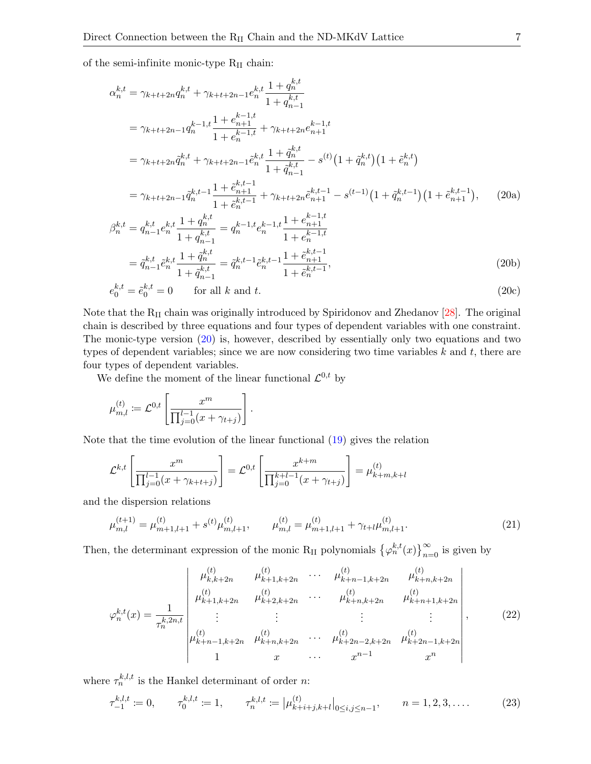of the semi-infinite monic-type  $R_{II}$  chain:

<span id="page-6-0"></span>
$$
\alpha_{n}^{k,t} = \gamma_{k+t+2n} q_{n}^{k,t} + \gamma_{k+t+2n-1} e_{n}^{k,t} \frac{1+q_{n}^{k,t}}{1+q_{n-1}^{k,t}}
$$
\n
$$
= \gamma_{k+t+2n-1} q_{n}^{k-1,t} \frac{1+e_{n+1}^{k-1,t}}{1+e_{n}^{k-1,t}} + \gamma_{k+t+2n} e_{n+1}^{k-1,t}
$$
\n
$$
= \gamma_{k+t+2n} \tilde{q}_{n}^{k,t} + \gamma_{k+t+2n-1} \tilde{e}_{n}^{k,t} \frac{1+q_{n}^{k,t}}{1+q_{n-1}^{k,t}} - s^{(t)} \left(1+\tilde{q}_{n}^{k,t}\right) \left(1+\tilde{e}_{n}^{k,t}\right)
$$
\n
$$
= \gamma_{k+t+2n-1} \tilde{q}_{n}^{k,t-1} \frac{1+e_{n+1}^{k,t-1}}{1+e_{n}^{k,t-1}} + \gamma_{k+t+2n} \tilde{e}_{n+1}^{k,t-1} - s^{(t-1)} \left(1+\tilde{q}_{n}^{k,t-1}\right) \left(1+\tilde{e}_{n+1}^{k,t-1}\right), \qquad (20a)
$$
\n
$$
\beta_{n}^{k,t} = q_{n-1}^{k,t} e_{n}^{k,t} \frac{1+q_{n}^{k,t}}{1+q_{n-1}^{k,t}} = q_{n}^{k-1,t} e_{n}^{k-1,t} \frac{1+e_{n-1}^{k-1,t}}{1+e_{n}^{k-1,t}}
$$

$$
= \tilde{q}_{n-1}^{k,t} \tilde{e}_n^{k,t} \frac{1 + \tilde{q}_n^{k,t}}{1 + \tilde{q}_{n-1}^{k,t}} = \tilde{q}_n^{k,t-1} \tilde{e}_n^{k,t-1} \frac{1 + \tilde{e}_{n+1}^{k,t-1}}{1 + \tilde{e}_n^{k,t-1}},
$$
\n(20b)

$$
e_0^{k,t} = \tilde{e}_0^{k,t} = 0 \qquad \text{for all } k \text{ and } t. \tag{20c}
$$

Note that the  $R_{II}$  chain was originally introduced by Spiridonov and Zhedanov [\[28\]](#page-11-13). The original chain is described by three equations and four types of dependent variables with one constraint. The monic-type version  $(20)$  is, however, described by essentially only two equations and two types of dependent variables; since we are now considering two time variables  $k$  and  $t$ , there are four types of dependent variables.

We define the moment of the linear functional  $\mathcal{L}^{0,t}$  by

$$
\mu_{m,l}^{(t)} := \mathcal{L}^{0,t} \left[ \frac{x^m}{\prod_{j=0}^{l-1} (x + \gamma_{t+j})} \right].
$$

Note that the time evolution of the linear functional [\(19\)](#page-5-2) gives the relation

$$
\mathcal{L}^{k,t} \left[ \frac{x^m}{\prod_{j=0}^{l-1} (x + \gamma_{k+t+j})} \right] = \mathcal{L}^{0,t} \left[ \frac{x^{k+m}}{\prod_{j=0}^{k+l-1} (x + \gamma_{t+j})} \right] = \mu_{k+m,k+l}^{(t)}
$$

and the dispersion relations

<span id="page-6-2"></span>
$$
\mu_{m,l}^{(t+1)} = \mu_{m+1,l+1}^{(t)} + s^{(t)}\mu_{m,l+1}^{(t)}, \qquad \mu_{m,l}^{(t)} = \mu_{m+1,l+1}^{(t)} + \gamma_{t+l}\mu_{m,l+1}^{(t)}.
$$
\n(21)

Then, the determinant expression of the monic R<sub>II</sub> polynomials  $\{\varphi_n^{k,t}(x)\}_{n=0}^{\infty}$  is given by

<span id="page-6-1"></span>
$$
\varphi_n^{k,t}(x) = \frac{1}{\tau_n^{k,2n,t}} \begin{vmatrix}\n\mu_{k,k+2n}^{(t)} & \mu_{k+1,k+2n}^{(t)} & \cdots & \mu_{k+n-1,k+2n}^{(t)} & \mu_{k+n,k+2n}^{(t)} \\
\mu_{k+1,k+2n}^{(t)} & \mu_{k+2,k+2n}^{(t)} & \cdots & \mu_{k+n,k+2n}^{(t)} & \mu_{k+n+1,k+2n}^{(t)} \\
\vdots & \vdots & \ddots & \vdots & \vdots \\
\mu_{k+n-1,k+2n}^{(t)} & \mu_{k+n,k+2n}^{(t)} & \cdots & \mu_{k+2n-2,k+2n}^{(t)} & \mu_{k+2n-1,k+2n}^{(t)}\n\end{vmatrix},
$$
\n(22)

where  $\tau_n^{k,l,t}$  is the Hankel determinant of order *n*:

<span id="page-6-3"></span>
$$
\tau_{-1}^{k,l,t} := 0, \qquad \tau_0^{k,l,t} := 1, \qquad \tau_n^{k,l,t} := |\mu_{k+i+j,k+l}^{(t)}|_{0 \le i,j \le n-1}, \qquad n = 1, 2, 3, .... \tag{23}
$$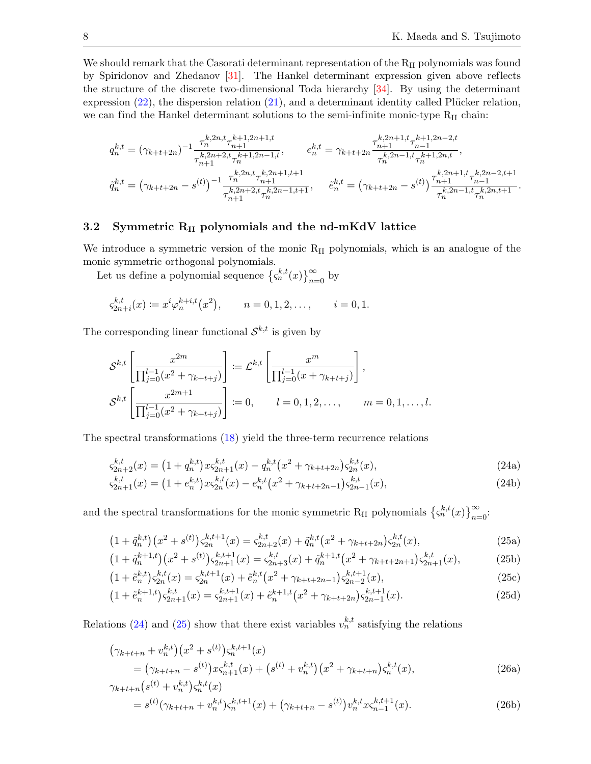We should remark that the Casorati determinant representation of the  $R_{II}$  polynomials was found by Spiridonov and Zhedanov [\[31\]](#page-11-15). The Hankel determinant expression given above reflects the structure of the discrete two-dimensional Toda hierarchy [\[34\]](#page-11-8). By using the determinant expression  $(22)$ , the dispersion relation  $(21)$ , and a determinant identity called Plücker relation, we can find the Hankel determinant solutions to the semi-infinite monic-type  $R_{II}$  chain:

$$
q_n^{k,t} = (\gamma_{k+t+2n})^{-1} \frac{\tau_n^{k,2n,t} \tau_{n+1}^{k+1,2n+1,t}}{\tau_{n+1}^{k,2n+2,t} \tau_n^{k+1,2n-1,t}}, \qquad e_n^{k,t} = \gamma_{k+t+2n} \frac{\tau_{n+1}^{k,2n+1,t} \tau_{n-1}^{k+1,2n-2,t}}{\tau_n^{k,2n-1,t} \tau_n^{k+1,2n,t}},
$$
  

$$
\tilde{q}_n^{k,t} = (\gamma_{k+t+2n} - s^{(t)})^{-1} \frac{\tau_n^{k,2n,t} \tau_{n+1}^{k,2n+1,t+1}}{\tau_{n+1}^{k,2n-1,t+1}}, \qquad \tilde{e}_n^{k,t} = (\gamma_{k+t+2n} - s^{(t)}) \frac{\tau_{n+1}^{k,2n+1,t} \tau_{n-1}^{k,2n-2,t+1}}{\tau_n^{k,2n-1,t} \tau_n^{k,2n,t+1}}.
$$

### 3.2 Symmetric  $R_{II}$  polynomials and the nd-mKdV lattice

We introduce a symmetric version of the monic R<sub>II</sub> polynomials, which is an analogue of the monic symmetric orthogonal polynomials.

Let us define a polynomial sequence  $\{\varsigma_n^{k,t}(x)\}_{n=0}^{\infty}$  by

$$
\varsigma_{2n+i}^{k,t}(x) \coloneqq x^i \varphi_n^{k+i,t}(x^2), \qquad n = 0, 1, 2, \dots, \qquad i = 0, 1.
$$

The corresponding linear functional  $\mathcal{S}^{k,t}$  is given by

$$
\mathcal{S}^{k,t} \left[ \frac{x^{2m}}{\prod_{j=0}^{l-1} (x^2 + \gamma_{k+t+j})} \right] := \mathcal{L}^{k,t} \left[ \frac{x^m}{\prod_{j=0}^{l-1} (x + \gamma_{k+t+j})} \right],
$$
  

$$
\mathcal{S}^{k,t} \left[ \frac{x^{2m+1}}{\prod_{j=0}^{l-1} (x^2 + \gamma_{k+t+j})} \right] := 0, \qquad l = 0, 1, 2, ..., \qquad m = 0, 1, ..., l.
$$

The spectral transformations [\(18\)](#page-5-1) yield the three-term recurrence relations

<span id="page-7-0"></span>
$$
\varsigma_{2n+2}^{k,t}(x) = \left(1 + q_n^{k,t}\right)x\varsigma_{2n+1}^{k,t}(x) - q_n^{k,t}\left(x^2 + \gamma_{k+t+2n}\right)\varsigma_{2n}^{k,t}(x),\tag{24a}
$$

<span id="page-7-1"></span>
$$
\varsigma_{2n+1}^{k,t}(x) = \left(1 + e_n^{k,t}\right)x\varsigma_{2n}^{k,t}(x) - e_n^{k,t}\left(x^2 + \gamma_{k+t+2n-1}\right)\varsigma_{2n-1}^{k,t}(x),\tag{24b}
$$

and the spectral transformations for the monic symmetric R<sub>II</sub> polynomials  $\{\zeta_n^{k,t}(x)\}_{n=0}^{\infty}$ .

$$
(1 + \tilde{q}_n^{k,t})(x^2 + s^{(t)})\zeta_{2n}^{k,t+1}(x) = \zeta_{2n+2}^{k,t}(x) + \tilde{q}_n^{k,t}(x^2 + \gamma_{k+t+2n})\zeta_{2n}^{k,t}(x),
$$
\n(25a)

$$
(1 + \tilde{q}_n^{k+1,t})(x^2 + s^{(t)})\varsigma_{2n+1}^{k,t+1}(x) = \varsigma_{2n+3}^{k,t}(x) + \tilde{q}_n^{k+1,t}(x^2 + \gamma_{k+t+2n+1})\varsigma_{2n+1}^{k,t}(x),\tag{25b}
$$

$$
(1 + \tilde{e}_n^{k,t})\varsigma_{2n}^{k,t}(x) = \varsigma_{2n}^{k,t+1}(x) + \tilde{e}_n^{k,t}(x^2 + \gamma_{k+t+2n-1})\varsigma_{2n-2}^{k,t+1}(x),\tag{25c}
$$

<span id="page-7-2"></span>
$$
(1 + \tilde{e}_n^{k+1,t})\varsigma_{2n+1}^{k,t}(x) = \varsigma_{2n+1}^{k,t+1}(x) + \tilde{e}_n^{k+1,t}(x^2 + \gamma_{k+t+2n})\varsigma_{2n-1}^{k,t+1}(x).
$$
 (25d)

Relations [\(24\)](#page-7-0) and [\(25\)](#page-7-1) show that there exist variables  $v_n^{k,t}$  satisfying the relations

$$
\begin{aligned} \left(\gamma_{k+t+n} + v_n^{k,t}\right) \left(x^2 + s^{(t)}\right) \varsigma_n^{k,t+1}(x) \\ &= \left(\gamma_{k+t+n} - s^{(t)}\right) x \varsigma_{n+1}^{k,t}(x) + \left(s^{(t)} + v_n^{k,t}\right) \left(x^2 + \gamma_{k+t+n}\right) \varsigma_n^{k,t}(x), \end{aligned} \tag{26a}
$$

$$
\gamma_{k+t+n}(s^{(t)} + v_n^{k,t})\varsigma_n^{k,t}(x) = s^{(t)}(\gamma_{k+t+n} + v_n^{k,t})\varsigma_n^{k,t+1}(x) + (\gamma_{k+t+n} - s^{(t)})v_n^{k,t}x\varsigma_{n-1}^{k,t+1}(x).
$$
\n(26b)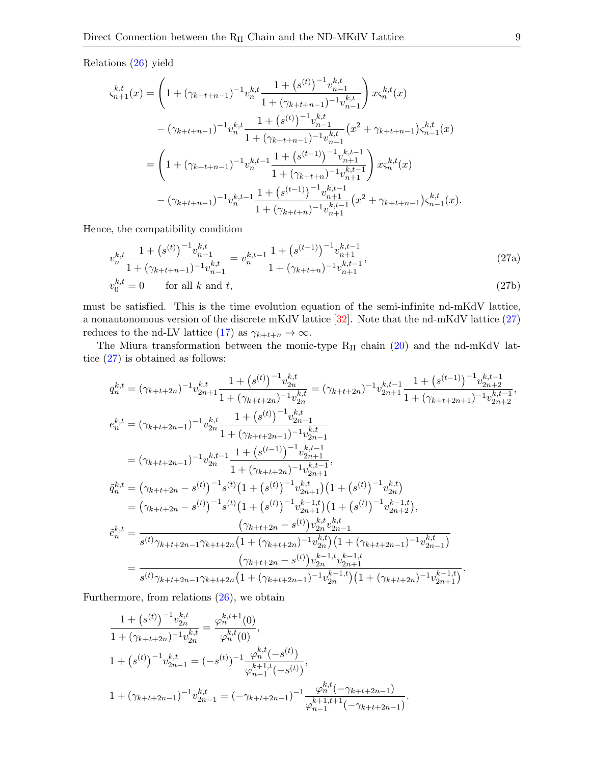Relations [\(26\)](#page-7-2) yield

$$
\begin{split} \varsigma_{n+1}^{k,t}(x) &= \left( 1 + (\gamma_{k+t+n-1})^{-1} v_n^{k,t} \frac{1 + \left( s^{(t)} \right)^{-1} v_{n-1}^{k,t}}{1 + (\gamma_{k+t+n-1})^{-1} v_{n-1}^{k,t}} \right) x \varsigma_n^{k,t}(x) \\ &- (\gamma_{k+t+n-1})^{-1} v_n^{k,t} \frac{1 + \left( s^{(t)} \right)^{-1} v_{n-1}^{k,t}}{1 + (\gamma_{k+t+n-1})^{-1} v_{n-1}^{k,t}} \left( x^2 + \gamma_{k+t+n-1} \right) \varsigma_{n-1}^{k,t}(x) \\ &= \left( 1 + (\gamma_{k+t+n-1})^{-1} v_n^{k,t-1} \frac{1 + \left( s^{(t-1)} \right)^{-1} v_{n+1}^{k,t-1}}{1 + (\gamma_{k+t+n})^{-1} v_{n+1}^{k,t-1}} \right) x \varsigma_n^{k,t}(x) \\ &- (\gamma_{k+t+n-1})^{-1} v_n^{k,t-1} \frac{1 + \left( s^{(t-1)} \right)^{-1} v_{n+1}^{k,t-1}}{1 + (\gamma_{k+t+n})^{-1} v_{n+1}^{k,t-1}} \left( x^2 + \gamma_{k+t+n-1} \right) \varsigma_{n-1}^{k,t}(x). \end{split}
$$

Hence, the compatibility condition

<span id="page-8-0"></span>
$$
v_n^{k,t} \frac{1 + \left(s^{(t)}\right)^{-1} v_{n-1}^{k,t}}{1 + \left(\gamma_{k+t+n-1}\right)^{-1} v_{n-1}^{k,t}} = v_n^{k,t-1} \frac{1 + \left(s^{(t-1)}\right)^{-1} v_{n+1}^{k,t-1}}{1 + \left(\gamma_{k+t+n}\right)^{-1} v_{n+1}^{k,t-1}},\tag{27a}
$$

$$
v_0^{k,t} = 0 \qquad \text{for all } k \text{ and } t,\tag{27b}
$$

must be satisfied. This is the time evolution equation of the semi-infinite nd-mKdV lattice, a nonautonomous version of the discrete mKdV lattice [\[32\]](#page-11-16). Note that the nd-mKdV lattice [\(27\)](#page-8-0) reduces to the nd-LV lattice [\(17\)](#page-4-4) as  $\gamma_{k+t+n} \to \infty$ .

The Miura transformation between the monic-type  $R_{II}$  chain [\(20\)](#page-6-0) and the nd-mKdV lattice [\(27\)](#page-8-0) is obtained as follows:

$$
q_{n}^{k,t} = (\gamma_{k+t+2n})^{-1} v_{2n+1}^{k,t} \frac{1 + (s^{(t)})^{-1} v_{2n}^{k,t}}{1 + (\gamma_{k+t+2n})^{-1} v_{2n}^{k,t}} = (\gamma_{k+t+2n})^{-1} v_{2n+1}^{k,t-1} \frac{1 + (s^{(t-1)})^{-1} v_{2n+2}^{k,t-1}}{1 + (\gamma_{k+t+2n+1})^{-1} v_{2n+2}^{k,t-1}},
$$
  
\n
$$
e_{n}^{k,t} = (\gamma_{k+t+2n-1})^{-1} v_{2n}^{k,t} \frac{1 + (s^{(t)})^{-1} v_{2n-1}^{k,t}}{1 + (\gamma_{k+t+2n-1})^{-1} v_{2n-1}^{k,t}}
$$
  
\n
$$
= (\gamma_{k+t+2n-1})^{-1} v_{2n}^{k,t-1} \frac{1 + (s^{(t-1)})^{-1} v_{2n+1}^{k,t-1}}{1 + (\gamma_{k+t+2n})^{-1} v_{2n+1}^{k,t-1}},
$$
  
\n
$$
\tilde{q}_{n}^{k,t} = (\gamma_{k+t+2n} - s^{(t)})^{-1} s^{(t)} \left(1 + (s^{(t)})^{-1} v_{2n+1}^{k,t}\right) \left(1 + (s^{(t)})^{-1} v_{2n+2}^{k,t}\right)
$$
  
\n
$$
= (\gamma_{k+t+2n} - s^{(t)})^{-1} s^{(t)} \left(1 + (s^{(t)})^{-1} v_{2n+1}^{k,t}\right) \left(1 + (s^{(t)})^{-1} v_{2n+2}^{k,t}\right),
$$
  
\n
$$
\tilde{e}_{n}^{k,t} = \frac{(\gamma_{k+t+2n} - s^{(t)}) v_{2n}^{k,t} v_{2n-1}^{k,t}}{s^{(t)} \gamma_{k+t+2n-1} \gamma_{k+t+2n} \left(1 + (\gamma_{k+t+2n})^{-1} v_{2n}^{k,t}\right) \left(1 + (\gamma_{k+t+2n-1})^{-1} v_{2n-1}^{k,t}\right)}
$$
  
\n
$$
= \frac{(\gamma_{k+t+2n-1} - s^{(t)}) v_{2n}^{k-t}}{s^{(t)} \gamma_{k+t+2n-1} \gamma_{k+t+2n
$$

Furthermore, from relations [\(26\)](#page-7-2), we obtain

$$
\frac{1 + (s^{(t)})^{-1} v_{2n}^{k,t}}{1 + (\gamma_{k+t+2n})^{-1} v_{2n}^{k,t}} = \frac{\varphi_n^{k,t+1}(0)}{\varphi_n^{k,t}(0)},
$$
  

$$
1 + (s^{(t)})^{-1} v_{2n-1}^{k,t} = (-s^{(t)})^{-1} \frac{\varphi_n^{k,t}(-s^{(t)})}{\varphi_{n-1}^{k+1,t}(-s^{(t)})},
$$
  

$$
1 + (\gamma_{k+t+2n-1})^{-1} v_{2n-1}^{k,t} = (-\gamma_{k+t+2n-1})^{-1} \frac{\varphi_n^{k,t}(-\gamma_{k+t+2n-1})}{\varphi_{n-1}^{k+1,t+1}(-\gamma_{k+t+2n-1})}.
$$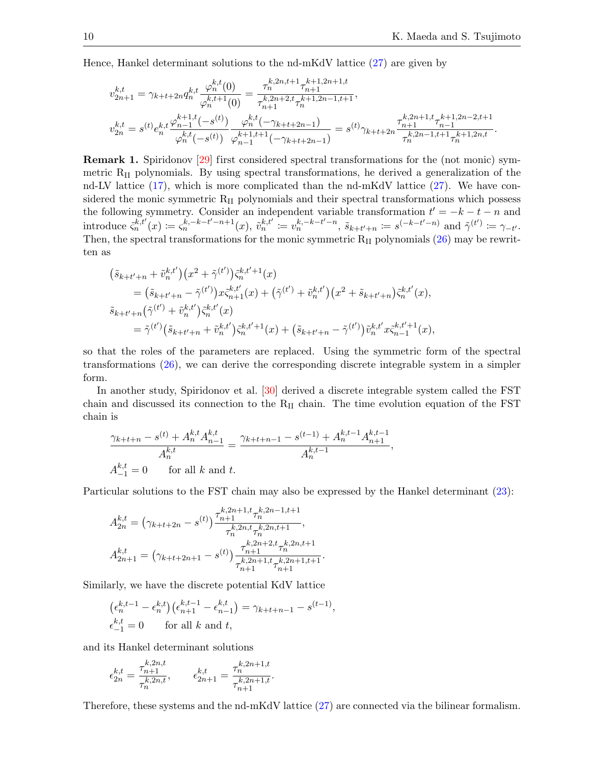Hence, Hankel determinant solutions to the nd-mKdV lattice [\(27\)](#page-8-0) are given by

$$
v_{2n+1}^{k,t} = \gamma_{k+t+2n} q_n^{k,t} \frac{\varphi_n^{k,t}(0)}{\varphi_n^{k,t+1}(0)} = \frac{\tau_n^{k,2n,t+1} \tau_{n+1}^{k+1,2n+1,t}}{\tau_{n+1}^{k,2n+2,t} \tau_n^{k+1,2n-1,t+1}},
$$
  

$$
v_{2n}^{k,t} = s^{(t)} e_n^{k,t} \frac{\varphi_{n-1}^{k+1,t}(-s^{(t)})}{\varphi_n^{k,t}(-s^{(t)})} \frac{\varphi_n^{k,t}(-\gamma_{k+t+2n-1})}{\varphi_{n-1}^{k+1,t+1}(-\gamma_{k+t+2n-1})} = s^{(t)} \gamma_{k+t+2n} \frac{\tau_{n+1}^{k,2n+1,t} \tau_{n-1}^{k+1,2n-2,t+1}}{\tau_n^{k,2n-1,t+1} \tau_n^{k+1,2n,t}}.
$$

Remark 1. Spiridonov [\[29\]](#page-11-17) first considered spectral transformations for the (not monic) symmetric  $R_{II}$  polynomials. By using spectral transformations, he derived a generalization of the nd-LV lattice  $(17)$ , which is more complicated than the nd-mKdV lattice  $(27)$ . We have considered the monic symmetric  $R_{II}$  polynomials and their spectral transformations which possess the following symmetry. Consider an independent variable transformation  $t' = -k - t - n$  and  $\text{introduce } \xi_n^{k,t'}(x) := \xi_n^{k,-k-t'-n+1}(x), \ \tilde{v}_n^{k,t'} := v_n^{k,-k-t'-n}, \ \tilde{s}_{k+t'+n} := s^{(-k-t'-n)} \text{ and } \tilde{\gamma}^{(t')} := \gamma_{-t'}.$ Then, the spectral transformations for the monic symmetric  $R_{II}$  polynomials  $(26)$  may be rewritten as

$$
\begin{split}\n&\left(\tilde{s}_{k+t'+n}+\tilde{v}_{n}^{k,t'}\right)\left(x^{2}+\tilde{\gamma}^{(t')}\right)\tilde{\varsigma}_{n}^{k,t'+1}(x) \\
&=\left(\tilde{s}_{k+t'+n}-\tilde{\gamma}^{(t')}\right)x\tilde{\varsigma}_{n+1}^{k,t'}(x)+\left(\tilde{\gamma}^{(t')}+\tilde{v}_{n}^{k,t'}\right)\left(x^{2}+\tilde{s}_{k+t'+n}\right)\tilde{\varsigma}_{n}^{k,t'}(x), \\
&\tilde{s}_{k+t'+n}\left(\tilde{\gamma}^{(t')}+\tilde{v}_{n}^{k,t'}\right)\tilde{\varsigma}_{n}^{k,t'}(x) \\
&=\tilde{\gamma}^{(t')}\left(\tilde{s}_{k+t'+n}+\tilde{v}_{n}^{k,t'}\right)\tilde{\varsigma}_{n}^{k,t'+1}(x)+\left(\tilde{s}_{k+t'+n}-\tilde{\gamma}^{(t')}\right)\tilde{v}_{n}^{k,t'}x\tilde{\varsigma}_{n-1}^{k,t'+1}(x),\n\end{split}
$$

so that the roles of the parameters are replaced. Using the symmetric form of the spectral transformations [\(26\)](#page-7-2), we can derive the corresponding discrete integrable system in a simpler form.

In another study, Spiridonov et al. [\[30\]](#page-11-18) derived a discrete integrable system called the FST chain and discussed its connection to the  $R_{II}$  chain. The time evolution equation of the FST chain is

$$
\frac{\gamma_{k+t+n} - s^{(t)} + A_n^{k,t} A_{n-1}^{k,t}}{A_n^{k,t}} = \frac{\gamma_{k+t+n-1} - s^{(t-1)} + A_n^{k,t-1} A_{n+1}^{k,t-1}}{A_n^{k,t-1}},
$$
  

$$
A_{-1}^{k,t} = 0 \qquad \text{for all } k \text{ and } t.
$$

Particular solutions to the FST chain may also be expressed by the Hankel determinant [\(23\)](#page-6-3):

$$
A_{2n}^{k,t} = (\gamma_{k+t+2n} - s^{(t)}) \frac{\tau_{n+1}^{k,2n+1,t} \tau_n^{k,2n-1,t+1}}{\tau_n^{k,2n,t} \tau_n^{k,2n,t+1}},
$$
  

$$
A_{2n+1}^{k,t} = (\gamma_{k+t+2n+1} - s^{(t)}) \frac{\tau_{n+1}^{k,2n+2,t} \tau_n^{k,2n,t+1}}{\tau_{n+1}^{k,2n+1,t} \tau_{n+1}^{k,2n+1,t+1}}.
$$

Similarly, we have the discrete potential KdV lattice

$$
\begin{aligned} &\left(\epsilon_n^{k,t-1} - \epsilon_n^{k,t}\right) \left(\epsilon_{n+1}^{k,t-1} - \epsilon_{n-1}^{k,t}\right) = \gamma_{k+t+n-1} - s^{(t-1)},\\ &\epsilon_{-1}^{k,t} = 0 \qquad \text{for all } k \text{ and } t, \end{aligned}
$$

and its Hankel determinant solutions

$$
\epsilon_{2n}^{k,t} = \frac{\tau_{n+1}^{k,2n,t}}{\tau_n^{k,2n,t}}, \qquad \epsilon_{2n+1}^{k,t} = \frac{\tau_n^{k,2n+1,t}}{\tau_{n+1}^{k,2n+1,t}}.
$$

Therefore, these systems and the nd-mKdV lattice [\(27\)](#page-8-0) are connected via the bilinear formalism.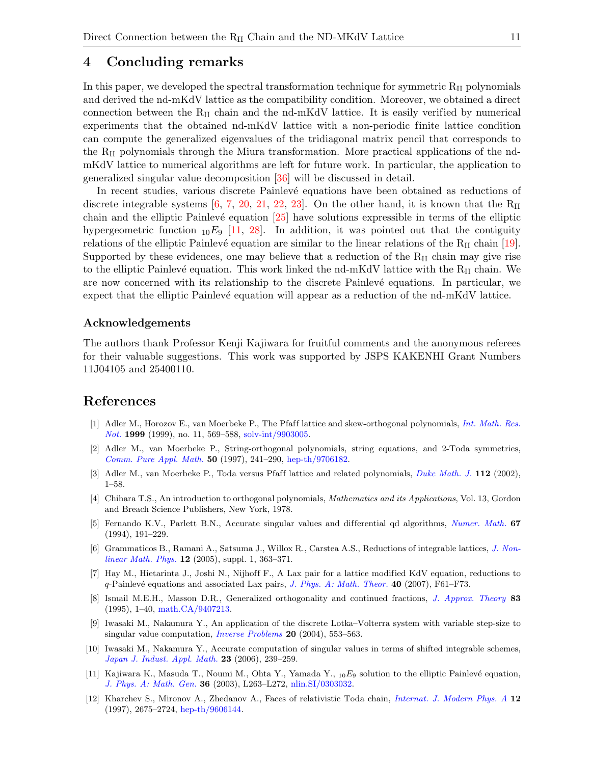# <span id="page-10-8"></span>4 Concluding remarks

In this paper, we developed the spectral transformation technique for symmetric  $R_{II}$  polynomials and derived the nd-mKdV lattice as the compatibility condition. Moreover, we obtained a direct connection between the  $R_{II}$  chain and the nd-mKdV lattice. It is easily verified by numerical experiments that the obtained nd-mKdV lattice with a non-periodic finite lattice condition can compute the generalized eigenvalues of the tridiagonal matrix pencil that corresponds to the  $R_{II}$  polynomials through the Miura transformation. More practical applications of the ndmKdV lattice to numerical algorithms are left for future work. In particular, the application to generalized singular value decomposition [\[36\]](#page-11-19) will be discussed in detail.

In recent studies, various discrete Painlevé equations have been obtained as reductions of discrete integrable systems [\[6,](#page-10-10) [7,](#page-10-11) [20,](#page-11-20) [21,](#page-11-21) [22,](#page-11-22) [23\]](#page-11-23). On the other hand, it is known that the  $R_{II}$ chain and the elliptic Painlevé equation  $[25]$  have solutions expressible in terms of the elliptic hypergeometric function  $_{10}E_9$  [\[11,](#page-10-12) [28\]](#page-11-13). In addition, it was pointed out that the contiguity relations of the elliptic Painlevé equation are similar to the linear relations of the  $R_{II}$  chain [\[19\]](#page-11-25). Supported by these evidences, one may believe that a reduction of the  $R_{II}$  chain may give rise to the elliptic Painlevé equation. This work linked the nd-mKdV lattice with the  $R_{II}$  chain. We are now concerned with its relationship to the discrete Painlevé equations. In particular, we expect that the elliptic Painlevé equation will appear as a reduction of the nd-mKdV lattice.

## Acknowledgements

The authors thank Professor Kenji Kajiwara for fruitful comments and the anonymous referees for their valuable suggestions. This work was supported by JSPS KAKENHI Grant Numbers 11J04105 and 25400110.

## References

- <span id="page-10-0"></span>[1] Adler M., Horozov E., van Moerbeke P., The Pfaff lattice and skew-orthogonal polynomials, [Int. Math. Res.](http://dx.doi.org/10.1155/S107379289900029X) [Not.](http://dx.doi.org/10.1155/S107379289900029X) 1999 (1999), no. 11, 569–588, [solv-int/9903005.](http://arxiv.org/abs/solv-int/9903005)
- <span id="page-10-1"></span>[2] Adler M., van Moerbeke P., String-orthogonal polynomials, string equations, and 2-Toda symmetries, [Comm. Pure Appl. Math.](http://dx.doi.org/10.1002/(SICI)1097-0312(199703)50:3<241::AID-CPA3>3.3.CO;2-3) 50 (1997), 241–290, [hep-th/9706182.](http://arxiv.org/abs/hep-th/9706182)
- <span id="page-10-2"></span>[3] Adler M., van Moerbeke P., Toda versus Pfaff lattice and related polynomials, [Duke Math. J.](http://dx.doi.org/10.1215/S0012-9074-02-11211-3) 112 (2002), 1–58.
- <span id="page-10-9"></span>[4] Chihara T.S., An introduction to orthogonal polynomials, Mathematics and its Applications, Vol. 13, Gordon and Breach Science Publishers, New York, 1978.
- <span id="page-10-4"></span>[5] Fernando K.V., Parlett B.N., Accurate singular values and differential qd algorithms, [Numer. Math.](http://dx.doi.org/10.1007/s002110050024) 67 (1994), 191–229.
- <span id="page-10-10"></span>[6] Grammaticos B., Ramani A., Satsuma J., Willox R., Carstea A.S., Reductions of integrable lattices, [J. Non](http://dx.doi.org/10.2991/jnmp.2005.12.s1.29)[linear Math. Phys.](http://dx.doi.org/10.2991/jnmp.2005.12.s1.29) 12 (2005), suppl. 1, 363–371.
- <span id="page-10-11"></span>[7] Hay M., Hietarinta J., Joshi N., Nijhoff F., A Lax pair for a lattice modified KdV equation, reductions to  $q$ -Painlevé equations and associated Lax pairs, [J. Phys. A: Math. Theor.](http://dx.doi.org/10.1088/1751-8113/40/2/F02) 40 (2007), F61–F73.
- <span id="page-10-7"></span>[8] Ismail M.E.H., Masson D.R., Generalized orthogonality and continued fractions, [J. Approx. Theory](http://dx.doi.org/10.1006/jath.1995.1106) 83 (1995), 1–40, [math.CA/9407213.](http://arxiv.org/abs/math.CA/9407213)
- <span id="page-10-5"></span>[9] Iwasaki M., Nakamura Y., An application of the discrete Lotka–Volterra system with variable step-size to singular value computation, *[Inverse Problems](http://dx.doi.org/10.1088/0266-5611/20/2/015)* 20 (2004), 553-563.
- <span id="page-10-6"></span>[10] Iwasaki M., Nakamura Y., Accurate computation of singular values in terms of shifted integrable schemes, [Japan J. Indust. Appl. Math.](http://dx.doi.org/10.1007/BF03167593) 23 (2006), 239–259.
- <span id="page-10-12"></span>[11] Kajiwara K., Masuda T., Noumi M., Ohta Y., Yamada Y.,  $_{10}E_9$  solution to the elliptic Painlevé equation, [J. Phys. A: Math. Gen.](http://dx.doi.org/10.1088/0305-4470/36/17/102) 36 (2003), L263–L272, [nlin.SI/0303032.](http://arxiv.org/abs/nlin.SI/0303032)
- <span id="page-10-3"></span>[12] Kharchev S., Mironov A., Zhedanov A., Faces of relativistic Toda chain, [Internat. J. Modern Phys. A](http://dx.doi.org/10.1142/S0217751X97001493) 12 (1997), 2675–2724, [hep-th/9606144.](http://arxiv.org/abs/hep-th/9606144)